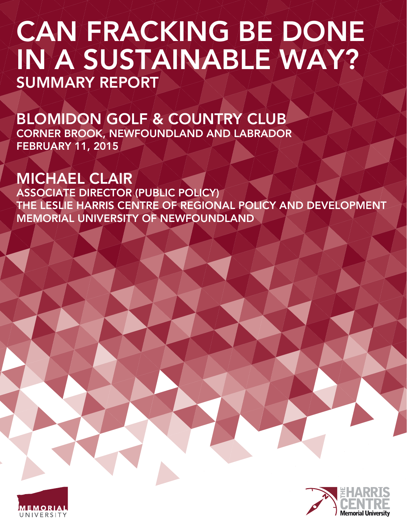# CAN FRACKING BE DONE IN A SUSTAINABLE WAY? SUMMARY REPORT

BLOMIDON GOLF & COUNTRY CLUB CORNER BROOK, NEWFOUNDLAND AND LABRADOR FEBRUARY 11, 2015

# MICHAEL CLAIR

ASSOCIATE DIRECTOR (PUBLIC POLICY) THE LESLIE HARRIS CENTRE OF REGIONAL POLICY AND DEVELOPMENT MEMORIAL UNIVERSITY OF NEWFOUNDLAND



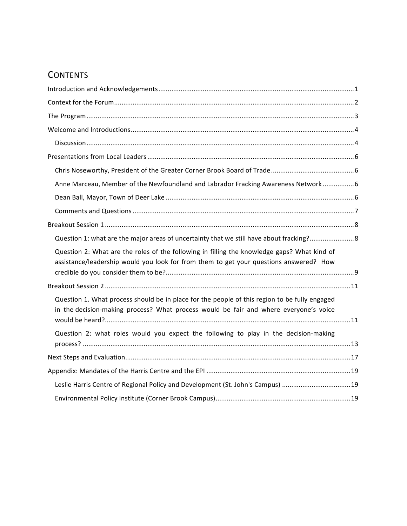### **CONTENTS**

| Anne Marceau, Member of the Newfoundland and Labrador Fracking Awareness Network6                                                                                                      |  |  |  |  |  |
|----------------------------------------------------------------------------------------------------------------------------------------------------------------------------------------|--|--|--|--|--|
|                                                                                                                                                                                        |  |  |  |  |  |
|                                                                                                                                                                                        |  |  |  |  |  |
|                                                                                                                                                                                        |  |  |  |  |  |
| Question 1: what are the major areas of uncertainty that we still have about fracking?8                                                                                                |  |  |  |  |  |
| Question 2: What are the roles of the following in filling the knowledge gaps? What kind of<br>assistance/leadership would you look for from them to get your questions answered? How  |  |  |  |  |  |
|                                                                                                                                                                                        |  |  |  |  |  |
| Question 1. What process should be in place for the people of this region to be fully engaged<br>in the decision-making process? What process would be fair and where everyone's voice |  |  |  |  |  |
| Question 2: what roles would you expect the following to play in the decision-making                                                                                                   |  |  |  |  |  |
|                                                                                                                                                                                        |  |  |  |  |  |
|                                                                                                                                                                                        |  |  |  |  |  |
| Leslie Harris Centre of Regional Policy and Development (St. John's Campus) 19                                                                                                         |  |  |  |  |  |
|                                                                                                                                                                                        |  |  |  |  |  |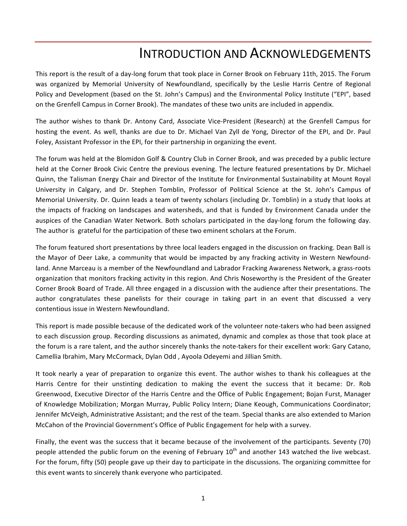### **INTRODUCTION AND ACKNOWLEDGEMENTS**

This report is the result of a day-long forum that took place in Corner Brook on February 11th, 2015. The Forum was organized by Memorial University of Newfoundland, specifically by the Leslie Harris Centre of Regional Policy and Development (based on the St. John's Campus) and the Environmental Policy Institute ("EPI", based on the Grenfell Campus in Corner Brook). The mandates of these two units are included in appendix.

The author wishes to thank Dr. Antony Card, Associate Vice-President (Research) at the Grenfell Campus for hosting the event. As well, thanks are due to Dr. Michael Van Zyll de Yong, Director of the EPI, and Dr. Paul Foley, Assistant Professor in the EPI, for their partnership in organizing the event.

The forum was held at the Blomidon Golf & Country Club in Corner Brook, and was preceded by a public lecture held at the Corner Brook Civic Centre the previous evening. The lecture featured presentations by Dr. Michael Quinn, the Talisman Energy Chair and Director of the Institute for Environmental Sustainability at Mount Royal University in Calgary, and Dr. Stephen Tomblin, Professor of Political Science at the St. John's Campus of Memorial University. Dr. Quinn leads a team of twenty scholars (including Dr. Tomblin) in a study that looks at the impacts of fracking on landscapes and watersheds, and that is funded by Environment Canada under the auspices of the Canadian Water Network. Both scholars participated in the day-long forum the following day. The author is grateful for the participation of these two eminent scholars at the Forum.

The forum featured short presentations by three local leaders engaged in the discussion on fracking. Dean Ball is the Mayor of Deer Lake, a community that would be impacted by any fracking activity in Western Newfoundland. Anne Marceau is a member of the Newfoundland and Labrador Fracking Awareness Network, a grass-roots organization that monitors fracking activity in this region. And Chris Noseworthy is the President of the Greater Corner Brook Board of Trade. All three engaged in a discussion with the audience after their presentations. The author congratulates these panelists for their courage in taking part in an event that discussed a very contentious issue in Western Newfoundland.

This report is made possible because of the dedicated work of the volunteer note-takers who had been assigned to each discussion group. Recording discussions as animated, dynamic and complex as those that took place at the forum is a rare talent, and the author sincerely thanks the note-takers for their excellent work: Gary Catano, Camellia Ibrahim, Mary McCormack, Dylan Odd, Ayoola Odeyemi and Jillian Smith.

It took nearly a year of preparation to organize this event. The author wishes to thank his colleagues at the Harris Centre for their unstinting dedication to making the event the success that it became: Dr. Rob Greenwood, Executive Director of the Harris Centre and the Office of Public Engagement; Bojan Furst, Manager of Knowledge Mobilization; Morgan Murray, Public Policy Intern; Diane Keough, Communications Coordinator; Jennifer McVeigh, Administrative Assistant; and the rest of the team. Special thanks are also extended to Marion McCahon of the Provincial Government's Office of Public Engagement for help with a survey.

Finally, the event was the success that it became because of the involvement of the participants. Seventy (70) people attended the public forum on the evening of February  $10^{th}$  and another 143 watched the live webcast. For the forum, fifty (50) people gave up their day to participate in the discussions. The organizing committee for this event wants to sincerely thank everyone who participated.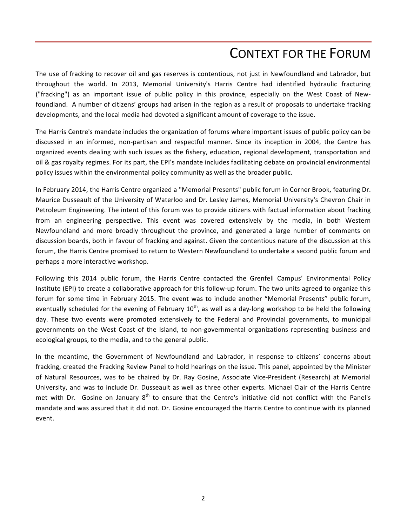### CONTEXT FOR THE FORUM

The use of fracking to recover oil and gas reserves is contentious, not just in Newfoundland and Labrador, but throughout the world. In 2013, Memorial University's Harris Centre had identified hydraulic fracturing ("fracking") as an important issue of public policy in this province, especially on the West Coast of Newfoundland. A number of citizens' groups had arisen in the region as a result of proposals to undertake fracking developments, and the local media had devoted a significant amount of coverage to the issue.

The Harris Centre's mandate includes the organization of forums where important issues of public policy can be discussed in an informed, non-partisan and respectful manner. Since its inception in 2004, the Centre has organized events dealing with such issues as the fishery, education, regional development, transportation and oil & gas royalty regimes. For its part, the EPI's mandate includes facilitating debate on provincial environmental policy issues within the environmental policy community as well as the broader public.

In February 2014, the Harris Centre organized a "Memorial Presents" public forum in Corner Brook, featuring Dr. Maurice Dusseault of the University of Waterloo and Dr. Lesley James, Memorial University's Chevron Chair in Petroleum Engineering. The intent of this forum was to provide citizens with factual information about fracking from an engineering perspective. This event was covered extensively by the media, in both Western Newfoundland and more broadly throughout the province, and generated a large number of comments on discussion boards, both in favour of fracking and against. Given the contentious nature of the discussion at this forum, the Harris Centre promised to return to Western Newfoundland to undertake a second public forum and perhaps a more interactive workshop.

Following this 2014 public forum, the Harris Centre contacted the Grenfell Campus' Environmental Policy Institute (EPI) to create a collaborative approach for this follow-up forum. The two units agreed to organize this forum for some time in February 2015. The event was to include another "Memorial Presents" public forum, eventually scheduled for the evening of February 10<sup>th</sup>, as well as a day-long workshop to be held the following day. These two events were promoted extensively to the Federal and Provincial governments, to municipal governments on the West Coast of the Island, to non-governmental organizations representing business and ecological groups, to the media, and to the general public.

In the meantime, the Government of Newfoundland and Labrador, in response to citizens' concerns about fracking, created the Fracking Review Panel to hold hearings on the issue. This panel, appointed by the Minister of Natural Resources, was to be chaired by Dr. Ray Gosine, Associate Vice-President (Research) at Memorial University, and was to include Dr. Dusseault as well as three other experts. Michael Clair of the Harris Centre met with Dr. Gosine on January  $8<sup>th</sup>$  to ensure that the Centre's initiative did not conflict with the Panel's mandate and was assured that it did not. Dr. Gosine encouraged the Harris Centre to continue with its planned event.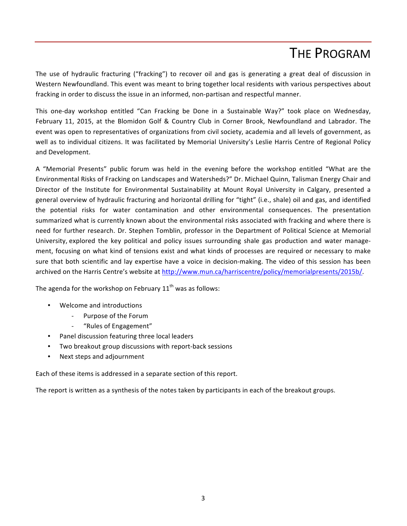### **THE PROGRAM**

The use of hydraulic fracturing ("fracking") to recover oil and gas is generating a great deal of discussion in Western Newfoundland. This event was meant to bring together local residents with various perspectives about fracking in order to discuss the issue in an informed, non-partisan and respectful manner.

This one-day workshop entitled "Can Fracking be Done in a Sustainable Way?" took place on Wednesday, February 11, 2015, at the Blomidon Golf & Country Club in Corner Brook, Newfoundland and Labrador. The event was open to representatives of organizations from civil society, academia and all levels of government, as well as to individual citizens. It was facilitated by Memorial University's Leslie Harris Centre of Regional Policy and Development.

A "Memorial Presents" public forum was held in the evening before the workshop entitled "What are the Environmental Risks of Fracking on Landscapes and Watersheds?" Dr. Michael Quinn, Talisman Energy Chair and Director of the Institute for Environmental Sustainability at Mount Royal University in Calgary, presented a general overview of hydraulic fracturing and horizontal drilling for "tight" (i.e., shale) oil and gas, and identified the potential risks for water contamination and other environmental consequences. The presentation summarized what is currently known about the environmental risks associated with fracking and where there is need for further research. Dr. Stephen Tomblin, professor in the Department of Political Science at Memorial University, explored the key political and policy issues surrounding shale gas production and water management, focusing on what kind of tensions exist and what kinds of processes are required or necessary to make sure that both scientific and lay expertise have a voice in decision-making. The video of this session has been archived on the Harris Centre's website at http://www.mun.ca/harriscentre/policy/memorialpresents/2015b/.

The agenda for the workshop on February  $11<sup>th</sup>$  was as follows:

- Welcome and introductions
	- Purpose of the Forum
	- "Rules of Engagement"
- Panel discussion featuring three local leaders
- Two breakout group discussions with report-back sessions
- Next steps and adjournment

Each of these items is addressed in a separate section of this report.

The report is written as a synthesis of the notes taken by participants in each of the breakout groups.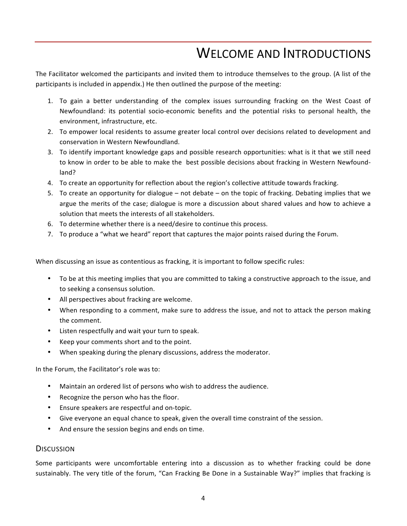### WELCOME AND INTRODUCTIONS

The Facilitator welcomed the participants and invited them to introduce themselves to the group. (A list of the participants is included in appendix.) He then outlined the purpose of the meeting:

- 1. To gain a better understanding of the complex issues surrounding fracking on the West Coast of Newfoundland: its potential socio-economic benefits and the potential risks to personal health, the environment, infrastructure, etc.
- 2. To empower local residents to assume greater local control over decisions related to development and conservation in Western Newfoundland.
- 3. To identify important knowledge gaps and possible research opportunities: what is it that we still need to know in order to be able to make the best possible decisions about fracking in Western Newfoundland?
- 4. To create an opportunity for reflection about the region's collective attitude towards fracking.
- 5. To create an opportunity for dialogue not debate on the topic of fracking. Debating implies that we argue the merits of the case; dialogue is more a discussion about shared values and how to achieve a solution that meets the interests of all stakeholders.
- 6. To determine whether there is a need/desire to continue this process.
- 7. To produce a "what we heard" report that captures the major points raised during the Forum.

When discussing an issue as contentious as fracking, it is important to follow specific rules:

- To be at this meeting implies that you are committed to taking a constructive approach to the issue, and to seeking a consensus solution.
- All perspectives about fracking are welcome.
- When responding to a comment, make sure to address the issue, and not to attack the person making the comment.
- Listen respectfully and wait your turn to speak.
- Keep your comments short and to the point.
- When speaking during the plenary discussions, address the moderator.

In the Forum, the Facilitator's role was to:

- Maintain an ordered list of persons who wish to address the audience.
- Recognize the person who has the floor.
- Ensure speakers are respectful and on-topic.
- Give everyone an equal chance to speak, given the overall time constraint of the session.
- And ensure the session begins and ends on time.

#### **DISCUSSION**

Some participants were uncomfortable entering into a discussion as to whether fracking could be done sustainably. The very title of the forum, "Can Fracking Be Done in a Sustainable Way?" implies that fracking is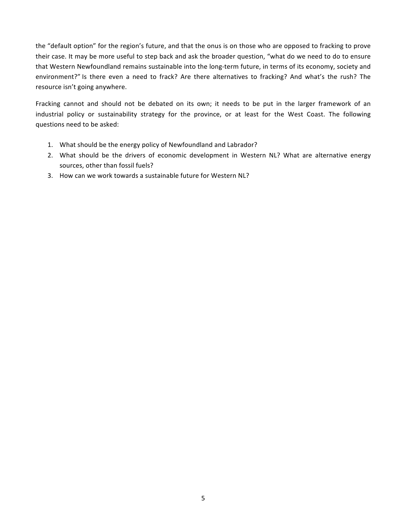the "default option" for the region's future, and that the onus is on those who are opposed to fracking to prove their case. It may be more useful to step back and ask the broader question, "what do we need to do to ensure that Western Newfoundland remains sustainable into the long-term future, in terms of its economy, society and environment?" Is there even a need to frack? Are there alternatives to fracking? And what's the rush? The resource isn't going anywhere.

Fracking cannot and should not be debated on its own; it needs to be put in the larger framework of an industrial policy or sustainability strategy for the province, or at least for the West Coast. The following questions need to be asked:

- 1. What should be the energy policy of Newfoundland and Labrador?
- 2. What should be the drivers of economic development in Western NL? What are alternative energy sources, other than fossil fuels?
- 3. How can we work towards a sustainable future for Western NL?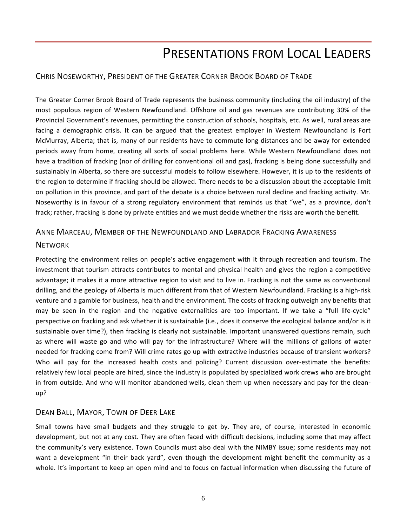### PRESENTATIONS FROM LOCAL LEADERS

#### CHRIS NOSEWORTHY, PRESIDENT OF THE GREATER CORNER BROOK BOARD OF TRADE

The Greater Corner Brook Board of Trade represents the business community (including the oil industry) of the most populous region of Western Newfoundland. Offshore oil and gas revenues are contributing 30% of the Provincial Government's revenues, permitting the construction of schools, hospitals, etc. As well, rural areas are facing a demographic crisis. It can be argued that the greatest employer in Western Newfoundland is Fort McMurray, Alberta; that is, many of our residents have to commute long distances and be away for extended periods away from home, creating all sorts of social problems here. While Western Newfoundland does not have a tradition of fracking (nor of drilling for conventional oil and gas), fracking is being done successfully and sustainably in Alberta, so there are successful models to follow elsewhere. However, it is up to the residents of the region to determine if fracking should be allowed. There needs to be a discussion about the acceptable limit on pollution in this province, and part of the debate is a choice between rural decline and fracking activity. Mr. Noseworthy is in favour of a strong regulatory environment that reminds us that "we", as a province, don't frack; rather, fracking is done by private entities and we must decide whether the risks are worth the benefit.

#### ANNE MARCEAU, MEMBER OF THE NEWFOUNDLAND AND LABRADOR FRACKING AWARENESS

#### **NETWORK**

Protecting the environment relies on people's active engagement with it through recreation and tourism. The investment that tourism attracts contributes to mental and physical health and gives the region a competitive advantage; it makes it a more attractive region to visit and to live in. Fracking is not the same as conventional drilling, and the geology of Alberta is much different from that of Western Newfoundland. Fracking is a high-risk venture and a gamble for business, health and the environment. The costs of fracking outweigh any benefits that may be seen in the region and the negative externalities are too important. If we take a "full life-cycle" perspective on fracking and ask whether it is sustainable (i.e., does it conserve the ecological balance and/or is it sustainable over time?), then fracking is clearly not sustainable. Important unanswered questions remain, such as where will waste go and who will pay for the infrastructure? Where will the millions of gallons of water needed for fracking come from? Will crime rates go up with extractive industries because of transient workers? Who will pay for the increased health costs and policing? Current discussion over-estimate the benefits: relatively few local people are hired, since the industry is populated by specialized work crews who are brought in from outside. And who will monitor abandoned wells, clean them up when necessary and pay for the cleanup?

#### DEAN BALL, MAYOR, TOWN OF DEER LAKE

Small towns have small budgets and they struggle to get by. They are, of course, interested in economic development, but not at any cost. They are often faced with difficult decisions, including some that may affect the community's very existence. Town Councils must also deal with the NIMBY issue; some residents may not want a development "in their back yard", even though the development might benefit the community as a whole. It's important to keep an open mind and to focus on factual information when discussing the future of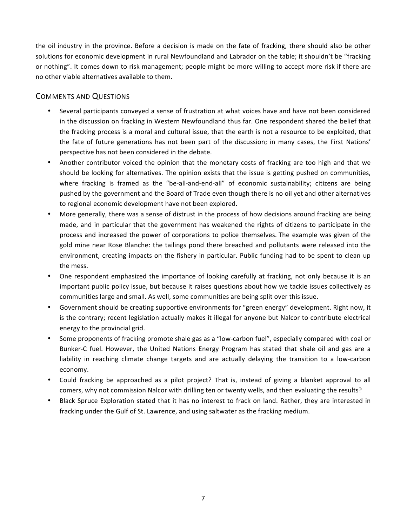the oil industry in the province. Before a decision is made on the fate of fracking, there should also be other solutions for economic development in rural Newfoundland and Labrador on the table; it shouldn't be "fracking or nothing". It comes down to risk management; people might be more willing to accept more risk if there are no other viable alternatives available to them.

#### COMMENTS AND QUESTIONS

- Several participants conveyed a sense of frustration at what voices have and have not been considered in the discussion on fracking in Western Newfoundland thus far. One respondent shared the belief that the fracking process is a moral and cultural issue, that the earth is not a resource to be exploited, that the fate of future generations has not been part of the discussion; in many cases, the First Nations' perspective has not been considered in the debate.
- Another contributor voiced the opinion that the monetary costs of fracking are too high and that we should be looking for alternatives. The opinion exists that the issue is getting pushed on communities, where fracking is framed as the "be-all-and-end-all" of economic sustainability; citizens are being pushed by the government and the Board of Trade even though there is no oil yet and other alternatives to regional economic development have not been explored.
- More generally, there was a sense of distrust in the process of how decisions around fracking are being made, and in particular that the government has weakened the rights of citizens to participate in the process and increased the power of corporations to police themselves. The example was given of the gold mine near Rose Blanche: the tailings pond there breached and pollutants were released into the environment, creating impacts on the fishery in particular. Public funding had to be spent to clean up the mess.
- One respondent emphasized the importance of looking carefully at fracking, not only because it is an important public policy issue, but because it raises questions about how we tackle issues collectively as communities large and small. As well, some communities are being split over this issue.
- Government should be creating supportive environments for "green energy" development. Right now, it is the contrary; recent legislation actually makes it illegal for anyone but Nalcor to contribute electrical energy to the provincial grid.
- Some proponents of fracking promote shale gas as a "low-carbon fuel", especially compared with coal or Bunker-C fuel. However, the United Nations Energy Program has stated that shale oil and gas are a liability in reaching climate change targets and are actually delaying the transition to a low-carbon economy.
- Could fracking be approached as a pilot project? That is, instead of giving a blanket approval to all comers, why not commission Nalcor with drilling ten or twenty wells, and then evaluating the results?
- Black Spruce Exploration stated that it has no interest to frack on land. Rather, they are interested in fracking under the Gulf of St. Lawrence, and using saltwater as the fracking medium.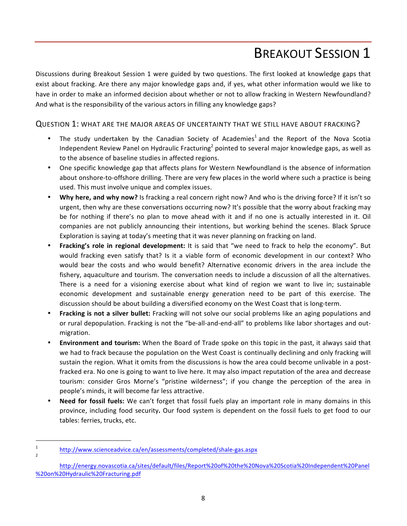## **BREAKOUT SESSION 1**

Discussions during Breakout Session 1 were guided by two questions. The first looked at knowledge gaps that exist about fracking. Are there any major knowledge gaps and, if yes, what other information would we like to have in order to make an informed decision about whether or not to allow fracking in Western Newfoundland? And what is the responsibility of the various actors in filling any knowledge gaps?

#### QUESTION 1: WHAT ARE THE MAJOR AREAS OF UNCERTAINTY THAT WE STILL HAVE ABOUT FRACKING?

- The study undertaken by the Canadian Society of Academies<sup>1</sup> and the Report of the Nova Scotia Independent Review Panel on Hydraulic Fracturing<sup>2</sup> pointed to several major knowledge gaps, as well as to the absence of baseline studies in affected regions.
- One specific knowledge gap that affects plans for Western Newfoundland is the absence of information about onshore-to-offshore drilling. There are very few places in the world where such a practice is being used. This must involve unique and complex issues.
- Why here, and why now? Is fracking a real concern right now? And who is the driving force? If it isn't so urgent, then why are these conversations occurring now? It's possible that the worry about fracking may be for nothing if there's no plan to move ahead with it and if no one is actually interested in it. Oil companies are not publicly announcing their intentions, but working behind the scenes. Black Spruce Exploration is saying at today's meeting that it was never planning on fracking on land.
- **Fracking's role in regional development:** It is said that "we need to frack to help the economy". But would fracking even satisfy that? Is it a viable form of economic development in our context? Who would bear the costs and who would benefit? Alternative economic drivers in the area include the fishery, aquaculture and tourism. The conversation needs to include a discussion of all the alternatives. There is a need for a visioning exercise about what kind of region we want to live in; sustainable economic development and sustainable energy generation need to be part of this exercise. The discussion should be about building a diversified economy on the West Coast that is long-term.
- Fracking is not a silver bullet: Fracking will not solve our social problems like an aging populations and or rural depopulation. Fracking is not the "be-all-and-end-all" to problems like labor shortages and outmigration.
- **Environment and tourism:** When the Board of Trade spoke on this topic in the past, it always said that we had to frack because the population on the West Coast is continually declining and only fracking will sustain the region. What it omits from the discussions is how the area could become unlivable in a postfracked era. No one is going to want to live here. It may also impact reputation of the area and decrease tourism: consider Gros Morne's "pristine wilderness"; if you change the perception of the area in people's minds, it will become far less attractive.
- **Need for fossil fuels:** We can't forget that fossil fuels play an important role in many domains in this province, including food security. Our food system is dependent on the fossil fuels to get food to our tables: ferries, trucks, etc.

 

<sup>1</sup> http://www.scienceadvice.ca/en/assessments/completed/shale-gas.aspx

http://energy.novascotia.ca/sites/default/files/Report%20of%20the%20Nova%20Scotia%20Independent%20Panel %20on%20Hydraulic%20Fracturing.pdf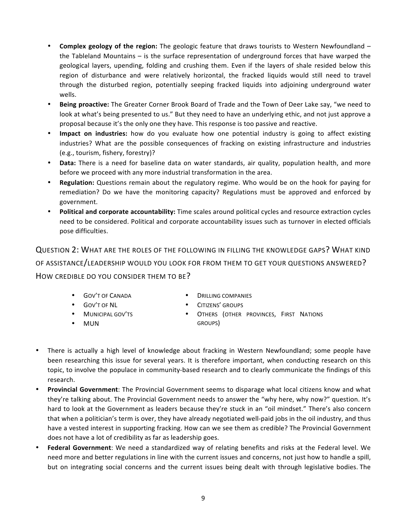- **Complex geology of the region:** The geologic feature that draws tourists to Western Newfoundland the Tableland Mountains  $-$  is the surface representation of underground forces that have warped the geological layers, upending, folding and crushing them. Even if the layers of shale resided below this region of disturbance and were relatively horizontal, the fracked liquids would still need to travel through the disturbed region, potentially seeping fracked liquids into adjoining underground water wells.
- **Being proactive:** The Greater Corner Brook Board of Trade and the Town of Deer Lake say, "we need to look at what's being presented to us." But they need to have an underlying ethic, and not just approve a proposal because it's the only one they have. This response is too passive and reactive.
- **Impact on industries:** how do you evaluate how one potential industry is going to affect existing industries? What are the possible consequences of fracking on existing infrastructure and industries (e.g., tourism, fishery, forestry)?
- Data: There is a need for baseline data on water standards, air quality, population health, and more before we proceed with any more industrial transformation in the area.
- **Regulation:** Questions remain about the regulatory regime. Who would be on the hook for paying for remediation? Do we have the monitoring capacity? Regulations must be approved and enforced by government.
- **Political and corporate accountability:** Time scales around political cycles and resource extraction cycles need to be considered. Political and corporate accountability issues such as turnover in elected officials pose difficulties.

QUESTION 2: WHAT ARE THE ROLES OF THE FOLLOWING IN FILLING THE KNOWLEDGE GAPS? WHAT KIND OF ASSISTANCE/LEADERSHIP WOULD YOU LOOK FOR FROM THEM TO GET YOUR QUESTIONS ANSWERED? HOW CREDIBLE DO YOU CONSIDER THEM TO BE?

- GOV'T OF CANADA
- DRILLING COMPANIES
- CITIZENS' GROUPS
- **OTHERS (OTHER PROVINCES, FIRST NATIONS** GROUPS)
- GOV'T OF NL • MUNICIPAL GOV'TS
- MUN
- There is actually a high level of knowledge about fracking in Western Newfoundland; some people have been researching this issue for several years. It is therefore important, when conducting research on this topic, to involve the populace in community-based research and to clearly communicate the findings of this research.
- **Provincial Government:** The Provincial Government seems to disparage what local citizens know and what they're talking about. The Provincial Government needs to answer the "why here, why now?" question. It's hard to look at the Government as leaders because they're stuck in an "oil mindset." There's also concern that when a politician's term is over, they have already negotiated well-paid jobs in the oil industry, and thus have a vested interest in supporting fracking. How can we see them as credible? The Provincial Government does not have a lot of credibility as far as leadership goes.
- Federal Government: We need a standardized way of relating benefits and risks at the Federal level. We need more and better regulations in line with the current issues and concerns, not just how to handle a spill, but on integrating social concerns and the current issues being dealt with through legislative bodies. The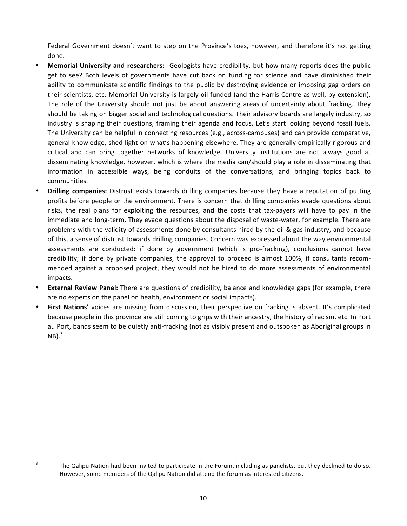Federal Government doesn't want to step on the Province's toes, however, and therefore it's not getting done. 

- **Memorial University and researchers:** Geologists have credibility, but how many reports does the public get to see? Both levels of governments have cut back on funding for science and have diminished their ability to communicate scientific findings to the public by destroying evidence or imposing gag orders on their scientists, etc. Memorial University is largely oil-funded (and the Harris Centre as well, by extension). The role of the University should not just be about answering areas of uncertainty about fracking. They should be taking on bigger social and technological questions. Their advisory boards are largely industry, so industry is shaping their questions, framing their agenda and focus. Let's start looking beyond fossil fuels. The University can be helpful in connecting resources (e.g., across-campuses) and can provide comparative, general knowledge, shed light on what's happening elsewhere. They are generally empirically rigorous and critical and can bring together networks of knowledge. University institutions are not always good at disseminating knowledge, however, which is where the media can/should play a role in disseminating that information in accessible ways, being conduits of the conversations, and bringing topics back to communities.
- **Drilling companies:** Distrust exists towards drilling companies because they have a reputation of putting profits before people or the environment. There is concern that drilling companies evade questions about risks, the real plans for exploiting the resources, and the costs that tax-payers will have to pay in the immediate and long-term. They evade questions about the disposal of waste-water, for example. There are problems with the validity of assessments done by consultants hired by the oil & gas industry, and because of this, a sense of distrust towards drilling companies. Concern was expressed about the way environmental assessments are conducted: if done by government (which is pro-fracking), conclusions cannot have credibility; if done by private companies, the approval to proceed is almost 100%; if consultants recommended against a proposed project, they would not be hired to do more assessments of environmental impacts.
- **External Review Panel:** There are questions of credibility, balance and knowledge gaps (for example, there are no experts on the panel on health, environment or social impacts).
- First Nations' voices are missing from discussion, their perspective on fracking is absent. It's complicated because people in this province are still coming to grips with their ancestry, the history of racism, etc. In Port au Port, bands seem to be quietly anti-fracking (not as visibly present and outspoken as Aboriginal groups in  $NB)^3$

 $3$  The Qalipu Nation had been invited to participate in the Forum, including as panelists, but they declined to do so. However, some members of the Qalipu Nation did attend the forum as interested citizens.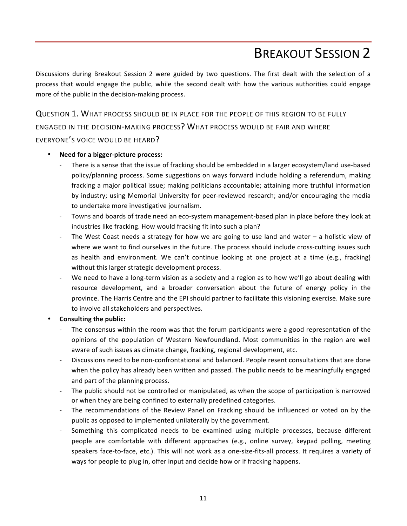### **BREAKOUT SESSION 2**

Discussions during Breakout Session 2 were guided by two questions. The first dealt with the selection of a process that would engage the public, while the second dealt with how the various authorities could engage more of the public in the decision-making process.

QUESTION 1. WHAT PROCESS SHOULD BE IN PLACE FOR THE PEOPLE OF THIS REGION TO BE FULLY ENGAGED IN THE DECISION-MAKING PROCESS? WHAT PROCESS WOULD BE FAIR AND WHERE EVERYONE'S VOICE WOULD BE HEARD?

#### **Need for a bigger-picture process:**

- There is a sense that the issue of fracking should be embedded in a larger ecosystem/land use-based policy/planning process. Some suggestions on ways forward include holding a referendum, making fracking a major political issue; making politicians accountable; attaining more truthful information by industry; using Memorial University for peer-reviewed research; and/or encouraging the media to undertake more investigative journalism.
- Towns and boards of trade need an eco-system management-based plan in place before they look at industries like fracking. How would fracking fit into such a plan?
- The West Coast needs a strategy for how we are going to use land and water  $-$  a holistic view of where we want to find ourselves in the future. The process should include cross-cutting issues such as health and environment. We can't continue looking at one project at a time (e.g., fracking) without this larger strategic development process.
- We need to have a long-term vision as a society and a region as to how we'll go about dealing with resource development, and a broader conversation about the future of energy policy in the province. The Harris Centre and the EPI should partner to facilitate this visioning exercise. Make sure to involve all stakeholders and perspectives.
- **Consulting the public:** 
	- The consensus within the room was that the forum participants were a good representation of the opinions of the population of Western Newfoundland. Most communities in the region are well aware of such issues as climate change, fracking, regional development, etc.
	- Discussions need to be non-confrontational and balanced. People resent consultations that are done when the policy has already been written and passed. The public needs to be meaningfully engaged and part of the planning process.
	- The public should not be controlled or manipulated, as when the scope of participation is narrowed or when they are being confined to externally predefined categories.
	- The recommendations of the Review Panel on Fracking should be influenced or voted on by the public as opposed to implemented unilaterally by the government.
	- Something this complicated needs to be examined using multiple processes, because different people are comfortable with different approaches (e.g., online survey, keypad polling, meeting speakers face-to-face, etc.). This will not work as a one-size-fits-all process. It requires a variety of ways for people to plug in, offer input and decide how or if fracking happens.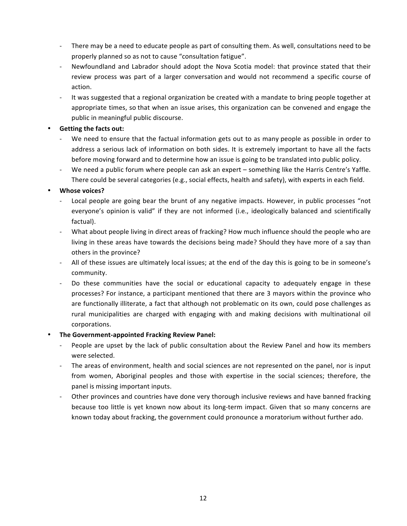- There may be a need to educate people as part of consulting them. As well, consultations need to be properly planned so as not to cause "consultation fatigue".
- Newfoundland and Labrador should adopt the Nova Scotia model: that province stated that their review process was part of a larger conversation and would not recommend a specific course of action.
- It was suggested that a regional organization be created with a mandate to bring people together at appropriate times, so that when an issue arises, this organization can be convened and engage the public in meaningful public discourse.

#### **Getting the facts out:**

- We need to ensure that the factual information gets out to as many people as possible in order to address a serious lack of information on both sides. It is extremely important to have all the facts before moving forward and to determine how an issue is going to be translated into public policy.
- We need a public forum where people can ask an expert something like the Harris Centre's Yaffle. There could be several categories (e.g., social effects, health and safety), with experts in each field.

#### • **Whose voices?**

- Local people are going bear the brunt of any negative impacts. However, in public processes "not everyone's opinion is valid" if they are not informed (i.e., ideologically balanced and scientifically factual).
- What about people living in direct areas of fracking? How much influence should the people who are living in these areas have towards the decisions being made? Should they have more of a say than others in the province?
- All of these issues are ultimately local issues; at the end of the day this is going to be in someone's community.
- Do these communities have the social or educational capacity to adequately engage in these processes? For instance, a participant mentioned that there are 3 mayors within the province who are functionally illiterate, a fact that although not problematic on its own, could pose challenges as rural municipalities are charged with engaging with and making decisions with multinational oil corporations.

#### **• The Government-appointed Fracking Review Panel:**

- People are upset by the lack of public consultation about the Review Panel and how its members were selected.
- The areas of environment, health and social sciences are not represented on the panel, nor is input from women, Aboriginal peoples and those with expertise in the social sciences; therefore, the panel is missing important inputs.
- Other provinces and countries have done very thorough inclusive reviews and have banned fracking because too little is yet known now about its long-term impact. Given that so many concerns are known today about fracking, the government could pronounce a moratorium without further ado.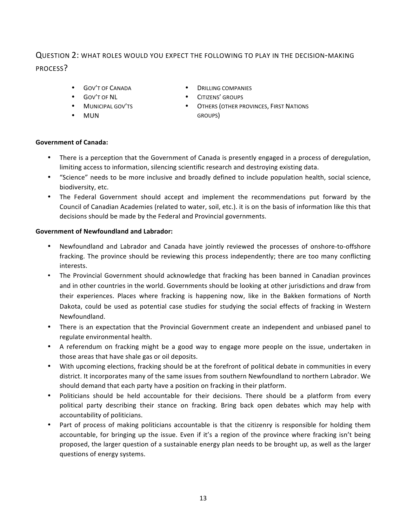### QUESTION 2: WHAT ROLES WOULD YOU EXPECT THE FOLLOWING TO PLAY IN THE DECISION-MAKING PROCESS?

• GOV'T OF CANADA

• MUNICIPAL GOV'TS

• GOV'T OF NL

• MUN

- **DRILLING COMPANIES**
- CITIZENS' GROUPS
	- **OTHERS (OTHER PROVINCES, FIRST NATIONS** GROUPS)

#### **Government of Canada:**

- There is a perception that the Government of Canada is presently engaged in a process of deregulation, limiting access to information, silencing scientific research and destroying existing data.
- "Science" needs to be more inclusive and broadly defined to include population health, social science, biodiversity, etc.
- The Federal Government should accept and implement the recommendations put forward by the Council of Canadian Academies (related to water, soil, etc.). it is on the basis of information like this that decisions should be made by the Federal and Provincial governments.

#### **Government of Newfoundland and Labrador:**

- Newfoundland and Labrador and Canada have jointly reviewed the processes of onshore-to-offshore fracking. The province should be reviewing this process independently; there are too many conflicting interests.
- The Provincial Government should acknowledge that fracking has been banned in Canadian provinces and in other countries in the world. Governments should be looking at other jurisdictions and draw from their experiences. Places where fracking is happening now, like in the Bakken formations of North Dakota, could be used as potential case studies for studying the social effects of fracking in Western Newfoundland.
- There is an expectation that the Provincial Government create an independent and unbiased panel to regulate environmental health.
- A referendum on fracking might be a good way to engage more people on the issue, undertaken in those areas that have shale gas or oil deposits.
- With upcoming elections, fracking should be at the forefront of political debate in communities in every district. It incorporates many of the same issues from southern Newfoundland to northern Labrador. We should demand that each party have a position on fracking in their platform.
- Politicians should be held accountable for their decisions. There should be a platform from every political party describing their stance on fracking. Bring back open debates which may help with accountability of politicians.
- Part of process of making politicians accountable is that the citizenry is responsible for holding them accountable, for bringing up the issue. Even if it's a region of the province where fracking isn't being proposed, the larger question of a sustainable energy plan needs to be brought up, as well as the larger questions of energy systems.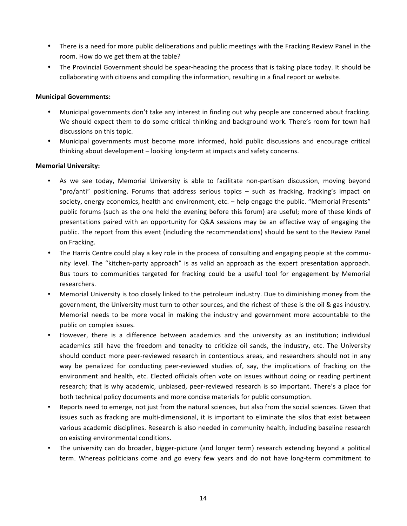- There is a need for more public deliberations and public meetings with the Fracking Review Panel in the room. How do we get them at the table?
- The Provincial Government should be spear-heading the process that is taking place today. It should be collaborating with citizens and compiling the information, resulting in a final report or website.

#### **Municipal Governments:**

- Municipal governments don't take any interest in finding out why people are concerned about fracking. We should expect them to do some critical thinking and background work. There's room for town hall discussions on this topic.
- Municipal governments must become more informed, hold public discussions and encourage critical thinking about development – looking long-term at impacts and safety concerns.

#### **Memorial University:**

- As we see today, Memorial University is able to facilitate non-partisan discussion, moving beyond "pro/anti" positioning. Forums that address serious topics – such as fracking, fracking's impact on society, energy economics, health and environment, etc.  $-$  help engage the public. "Memorial Presents" public forums (such as the one held the evening before this forum) are useful; more of these kinds of presentations paired with an opportunity for Q&A sessions may be an effective way of engaging the public. The report from this event (including the recommendations) should be sent to the Review Panel on Fracking.
- The Harris Centre could play a key role in the process of consulting and engaging people at the community level. The "kitchen-party approach" is as valid an approach as the expert presentation approach. Bus tours to communities targeted for fracking could be a useful tool for engagement by Memorial researchers.
- Memorial University is too closely linked to the petroleum industry. Due to diminishing money from the government, the University must turn to other sources, and the richest of these is the oil & gas industry. Memorial needs to be more vocal in making the industry and government more accountable to the public on complex issues.
- However, there is a difference between academics and the university as an institution; individual academics still have the freedom and tenacity to criticize oil sands, the industry, etc. The University should conduct more peer-reviewed research in contentious areas, and researchers should not in any way be penalized for conducting peer-reviewed studies of, say, the implications of fracking on the environment and health, etc. Elected officials often vote on issues without doing or reading pertinent research; that is why academic, unbiased, peer-reviewed research is so important. There's a place for both technical policy documents and more concise materials for public consumption.
- Reports need to emerge, not just from the natural sciences, but also from the social sciences. Given that issues such as fracking are multi-dimensional, it is important to eliminate the silos that exist between various academic disciplines. Research is also needed in community health, including baseline research on existing environmental conditions.
- The university can do broader, bigger-picture (and longer term) research extending beyond a political term. Whereas politicians come and go every few years and do not have long-term commitment to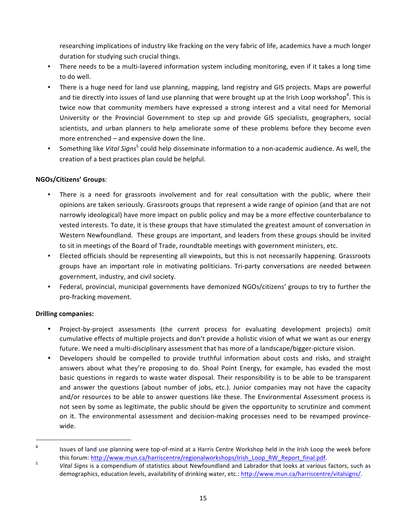researching implications of industry like fracking on the very fabric of life, academics have a much longer duration for studying such crucial things.

- There needs to be a multi-layered information system including monitoring, even if it takes a long time to do well.
- There is a huge need for land use planning, mapping, land registry and GIS projects. Maps are powerful and tie directly into issues of land use planning that were brought up at the Irish Loop workshop<sup>4</sup>. This is twice now that community members have expressed a strong interest and a vital need for Memorial University or the Provincial Government to step up and provide GIS specialists, geographers, social scientists, and urban planners to help ameliorate some of these problems before they become even more entrenched  $-$  and expensive down the line.
- Something like *Vital Signs*<sup>5</sup> could help disseminate information to a non-academic audience. As well, the creation of a best practices plan could be helpful.

#### **NGOs/Citizens' Groups**:

- There is a need for grassroots involvement and for real consultation with the public, where their opinions are taken seriously. Grassroots groups that represent a wide range of opinion (and that are not narrowly ideological) have more impact on public policy and may be a more effective counterbalance to vested interests. To date, it is these groups that have stimulated the greatest amount of conversation in Western Newfoundland. These groups are important, and leaders from these groups should be invited to sit in meetings of the Board of Trade, roundtable meetings with government ministers, etc.
- Elected officials should be representing all viewpoints, but this is not necessarily happening. Grassroots groups have an important role in motivating politicians. Tri-party conversations are needed between government, industry, and civil society.
- Federal, provincial, municipal governments have demonized NGOs/citizens' groups to try to further the pro-fracking movement.

#### **Drilling companies:**

 

- Project-by-project assessments (the current process for evaluating development projects) omit cumulative effects of multiple projects and don't provide a holistic vision of what we want as our energy future. We need a multi-disciplinary assessment that has more of a landscape/bigger-picture vision.
- Developers should be compelled to provide truthful information about costs and risks, and straight answers about what they're proposing to do. Shoal Point Energy, for example, has evaded the most basic questions in regards to waste water disposal. Their responsibility is to be able to be transparent and answer the questions (about number of jobs, etc.). Junior companies may not have the capacity and/or resources to be able to answer questions like these. The Environmental Assessment process is not seen by some as legitimate, the public should be given the opportunity to scrutinize and comment on it. The environmental assessment and decision-making processes need to be revamped provincewide.

<sup>&</sup>lt;sup>4</sup> Issues of land use planning were top-of-mind at a Harris Centre Workshop held in the Irish Loop the week before this forum: <u>http://www.mun.ca/harriscentre/regionalworkshops/Irish\_Loop\_RW\_Report\_final.pdf</u>.<br><sup>5</sup> *Vital Signs* is a compendium of statistics about Newfoundland and Labrador that looks at various factors, such as

demographics, education levels, availability of drinking water, etc.: http://www.mun.ca/harriscentre/vitalsigns/.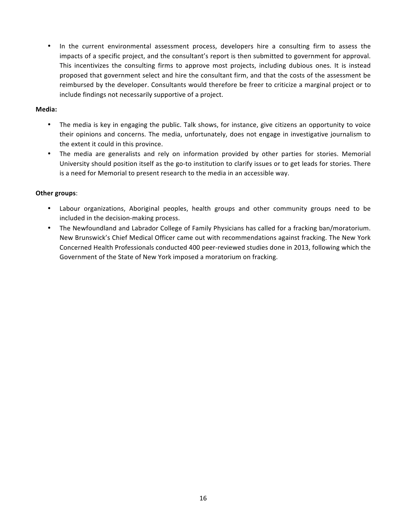• In the current environmental assessment process, developers hire a consulting firm to assess the impacts of a specific project, and the consultant's report is then submitted to government for approval. This incentivizes the consulting firms to approve most projects, including dubious ones. It is instead proposed that government select and hire the consultant firm, and that the costs of the assessment be reimbursed by the developer. Consultants would therefore be freer to criticize a marginal project or to include findings not necessarily supportive of a project.

#### **Media:**

- The media is key in engaging the public. Talk shows, for instance, give citizens an opportunity to voice their opinions and concerns. The media, unfortunately, does not engage in investigative journalism to the extent it could in this province.
- The media are generalists and rely on information provided by other parties for stories. Memorial University should position itself as the go-to institution to clarify issues or to get leads for stories. There is a need for Memorial to present research to the media in an accessible way.

#### **Other groups:**

- Labour organizations, Aboriginal peoples, health groups and other community groups need to be included in the decision-making process.
- The Newfoundland and Labrador College of Family Physicians has called for a fracking ban/moratorium. New Brunswick's Chief Medical Officer came out with recommendations against fracking. The New York Concerned Health Professionals conducted 400 peer-reviewed studies done in 2013, following which the Government of the State of New York imposed a moratorium on fracking.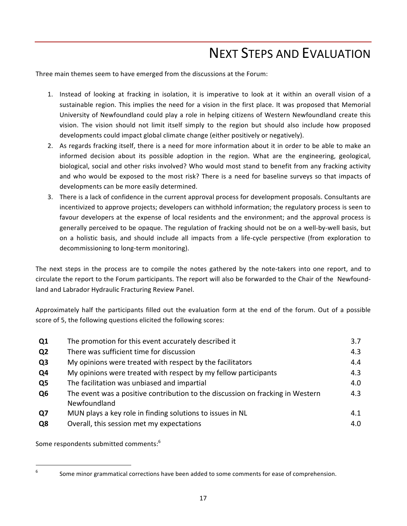### **NEXT STEPS AND EVALUATION**

Three main themes seem to have emerged from the discussions at the Forum:

- 1. Instead of looking at fracking in isolation, it is imperative to look at it within an overall vision of a sustainable region. This implies the need for a vision in the first place. It was proposed that Memorial University of Newfoundland could play a role in helping citizens of Western Newfoundland create this vision. The vision should not limit itself simply to the region but should also include how proposed developments could impact global climate change (either positively or negatively).
- 2. As regards fracking itself, there is a need for more information about it in order to be able to make an informed decision about its possible adoption in the region. What are the engineering, geological, biological, social and other risks involved? Who would most stand to benefit from any fracking activity and who would be exposed to the most risk? There is a need for baseline surveys so that impacts of developments can be more easily determined.
- 3. There is a lack of confidence in the current approval process for development proposals. Consultants are incentivized to approve projects; developers can withhold information; the regulatory process is seen to favour developers at the expense of local residents and the environment; and the approval process is generally perceived to be opaque. The regulation of fracking should not be on a well-by-well basis, but on a holistic basis, and should include all impacts from a life-cycle perspective (from exploration to decommissioning to long-term monitoring).

The next steps in the process are to compile the notes gathered by the note-takers into one report, and to circulate the report to the Forum participants. The report will also be forwarded to the Chair of the Newfoundland and Labrador Hydraulic Fracturing Review Panel.

Approximately half the participants filled out the evaluation form at the end of the forum. Out of a possible score of 5, the following questions elicited the following scores:

| Q1             | The promotion for this event accurately described it                                           | 3.7 |  |  |
|----------------|------------------------------------------------------------------------------------------------|-----|--|--|
| Q <sub>2</sub> | There was sufficient time for discussion                                                       | 4.3 |  |  |
| Q <sub>3</sub> | My opinions were treated with respect by the facilitators                                      | 4.4 |  |  |
| Q4             | My opinions were treated with respect by my fellow participants                                |     |  |  |
| Q <sub>5</sub> | The facilitation was unbiased and impartial                                                    | 4.0 |  |  |
| Q <sub>6</sub> | The event was a positive contribution to the discussion on fracking in Western<br>Newfoundland | 4.3 |  |  |
| Q7             | MUN plays a key role in finding solutions to issues in NL                                      | 4.1 |  |  |
| Q8             | Overall, this session met my expectations                                                      | 4.0 |  |  |

Some respondents submitted comments:<sup>6</sup>

 

 $6$  Some minor grammatical corrections have been added to some comments for ease of comprehension.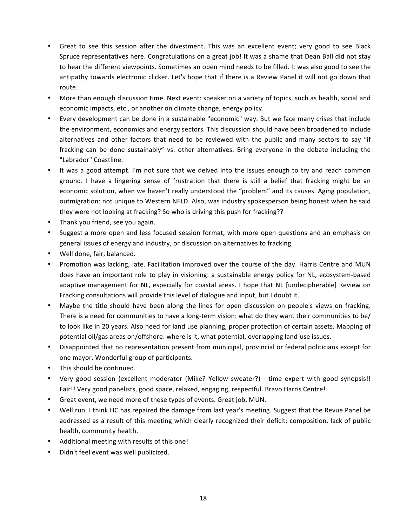- Great to see this session after the divestment. This was an excellent event; very good to see Black Spruce representatives here. Congratulations on a great job! It was a shame that Dean Ball did not stay to hear the different viewpoints. Sometimes an open mind needs to be filled. It was also good to see the antipathy towards electronic clicker. Let's hope that if there is a Review Panel it will not go down that route.
- More than enough discussion time. Next event: speaker on a variety of topics, such as health, social and economic impacts, etc., or another on climate change, energy policy.
- Every development can be done in a sustainable "economic" way. But we face many crises that include the environment, economics and energy sectors. This discussion should have been broadened to include alternatives and other factors that need to be reviewed with the public and many sectors to say "if fracking can be done sustainably" vs. other alternatives. Bring everyone in the debate including the "Labrador" Coastline.
- It was a good attempt. I'm not sure that we delved into the issues enough to try and reach common ground. I have a lingering sense of frustration that there is still a belief that fracking might be an economic solution, when we haven't really understood the "problem" and its causes. Aging population, outmigration: not unique to Western NFLD. Also, was industry spokesperson being honest when he said they were not looking at fracking? So who is driving this push for fracking??
- Thank you friend, see you again.
- Suggest a more open and less focused session format, with more open questions and an emphasis on general issues of energy and industry, or discussion on alternatives to fracking
- Well done, fair, balanced.
- Promotion was lacking, late. Facilitation improved over the course of the day. Harris Centre and MUN does have an important role to play in visioning: a sustainable energy policy for NL, ecosystem-based adaptive management for NL, especially for coastal areas. I hope that NL [undecipherable] Review on Fracking consultations will provide this level of dialogue and input, but I doubt it.
- Maybe the title should have been along the lines for open discussion on people's views on fracking. There is a need for communities to have a long-term vision: what do they want their communities to be/ to look like in 20 years. Also need for land use planning, proper protection of certain assets. Mapping of potential oil/gas areas on/offshore: where is it, what potential, overlapping land-use issues.
- Disappointed that no representation present from municipal, provincial or federal politicians except for one mayor. Wonderful group of participants.
- This should be continued.
- Very good session (excellent moderator (Mike? Yellow sweater?) time expert with good synopsis!! Fair!! Very good panelists, good space, relaxed, engaging, respectful. Bravo Harris Centre!
- Great event, we need more of these types of events. Great job, MUN.
- Well run. I think HC has repaired the damage from last year's meeting. Suggest that the Revue Panel be addressed as a result of this meeting which clearly recognized their deficit: composition, lack of public health, community health.
- Additional meeting with results of this one!
- Didn't feel event was well publicized.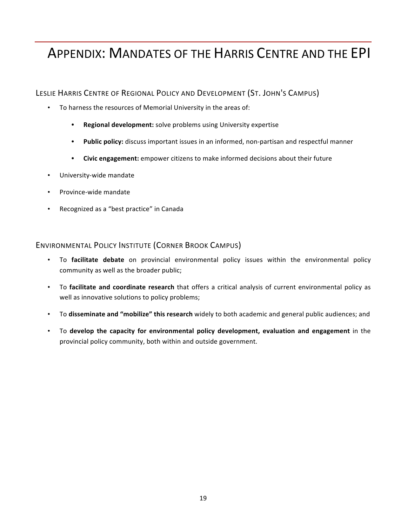### APPENDIX: MANDATES OF THE HARRIS CENTRE AND THE EPI

LESLIE HARRIS CENTRE OF REGIONAL POLICY AND DEVELOPMENT (ST. JOHN'S CAMPUS)

- To harness the resources of Memorial University in the areas of:
	- **Regional development:** solve problems using University expertise
	- Public policy: discuss important issues in an informed, non-partisan and respectful manner
	- Civic engagement: empower citizens to make informed decisions about their future
- University-wide mandate
- Province-wide mandate
- Recognized as a "best practice" in Canada

#### ENVIRONMENTAL POLICY INSTITUTE (CORNER BROOK CAMPUS)

- To **facilitate debate** on provincial environmental policy issues within the environmental policy community as well as the broader public;
- To **facilitate and coordinate research** that offers a critical analysis of current environmental policy as well as innovative solutions to policy problems;
- To disseminate and "mobilize" this research widely to both academic and general public audiences; and
- To **develop the capacity for environmental policy development, evaluation and engagement** in the provincial policy community, both within and outside government.